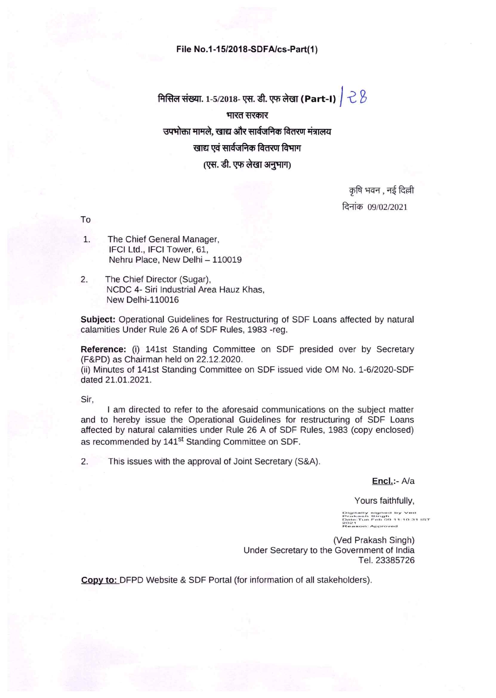#### File No.1-15/2018-SDFA/cs-Part(1)

# मिसिल संख्या. 1-5/2018- एस. डी. एफ लेखा (Part-I)  $\vert$   $\stackrel{\sim}{\sim}$   $\stackrel{\sim}{\sim}$ भारत सरकार उपभोक्ता मामले. खाद्य और सार्वजनिक वितरण मंत्रालय खाद्य एवं सार्वजनिक वितरण विभाग (एस. डी. एफ लेखा अनुभाग)

कृषि भवन , नई दिल्ली दिनांक 09/02/2021

To

- The Chief General Manager, 1. IFCI Ltd., IFCI Tower, 61, Nehru Place, New Delhi - 110019
- $2.$ The Chief Director (Sugar), NCDC 4- Siri Industrial Area Hauz Khas, **New Delhi-110016**

Subject: Operational Guidelines for Restructuring of SDF Loans affected by natural calamities Under Rule 26 A of SDF Rules, 1983 -reg.

Reference: (i) 141st Standing Committee on SDF presided over by Secretary (F&PD) as Chairman held on 22.12.2020.

(ii) Minutes of 141st Standing Committee on SDF issued vide OM No. 1-6/2020-SDF dated 21.01.2021.

Sir,

I am directed to refer to the aforesaid communications on the subject matter and to hereby issue the Operational Guidelines for restructuring of SDF Loans affected by natural calamities under Rule 26 A of SDF Rules, 1983 (copy enclosed) as recommended by 141<sup>st</sup> Standing Committee on SDF.

2. This issues with the approval of Joint Secretary (S&A).

Encl.:- A/a

Yours faithfully,

)|gitally signed by Ved<br>Prakash Singh<br>)ate:Tue Feb 09 11:10:31 li 1<br>ison: Approved

(Ved Prakash Singh) Under Secretary to the Government of India Tel. 23385726

Copy to: DFPD Website & SDF Portal (for information of all stakeholders).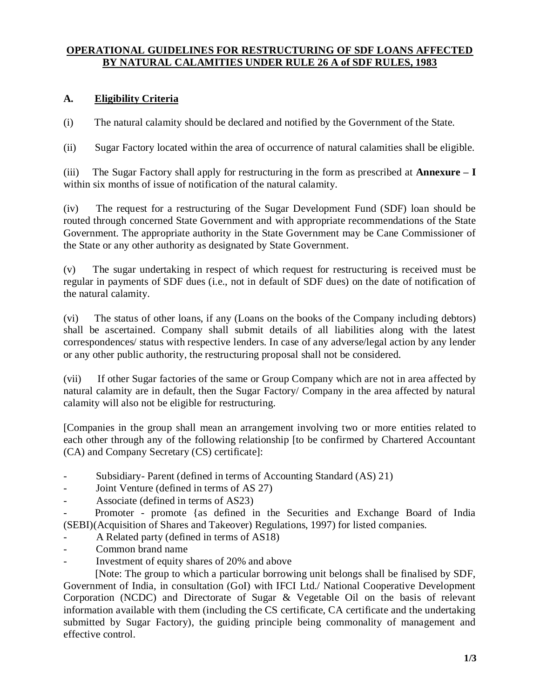#### **OPERATIONAL GUIDELINES FOR RESTRUCTURING OF SDF LOANS AFFECTED BY NATURAL CALAMITIES UNDER RULE 26 A of SDF RULES, 1983**

### **A. Eligibility Criteria**

(i) The natural calamity should be declared and notified by the Government of the State.

(ii) Sugar Factory located within the area of occurrence of natural calamities shall be eligible.

(iii) The Sugar Factory shall apply for restructuring in the form as prescribed at **Annexure – I** within six months of issue of notification of the natural calamity.

(iv) The request for a restructuring of the Sugar Development Fund (SDF) loan should be routed through concerned State Government and with appropriate recommendations of the State Government. The appropriate authority in the State Government may be Cane Commissioner of the State or any other authority as designated by State Government.

(v) The sugar undertaking in respect of which request for restructuring is received must be regular in payments of SDF dues (i.e., not in default of SDF dues) on the date of notification of the natural calamity.

(vi) The status of other loans, if any (Loans on the books of the Company including debtors) shall be ascertained. Company shall submit details of all liabilities along with the latest correspondences/ status with respective lenders. In case of any adverse/legal action by any lender or any other public authority, the restructuring proposal shall not be considered.

(vii) If other Sugar factories of the same or Group Company which are not in area affected by natural calamity are in default, then the Sugar Factory/ Company in the area affected by natural calamity will also not be eligible for restructuring.

[Companies in the group shall mean an arrangement involving two or more entities related to each other through any of the following relationship [to be confirmed by Chartered Accountant (CA) and Company Secretary (CS) certificate]:

- Subsidiary- Parent (defined in terms of Accounting Standard (AS) 21)
- Joint Venture (defined in terms of AS 27)
- Associate (defined in terms of AS23)

Promoter - promote {as defined in the Securities and Exchange Board of India (SEBI)(Acquisition of Shares and Takeover) Regulations, 1997) for listed companies.

- A Related party (defined in terms of AS18)
- Common brand name
- Investment of equity shares of 20% and above

[Note: The group to which a particular borrowing unit belongs shall be finalised by SDF, Government of India, in consultation (GoI) with IFCI Ltd./ National Cooperative Development Corporation (NCDC) and Directorate of Sugar & Vegetable Oil on the basis of relevant information available with them (including the CS certificate, CA certificate and the undertaking submitted by Sugar Factory), the guiding principle being commonality of management and effective control.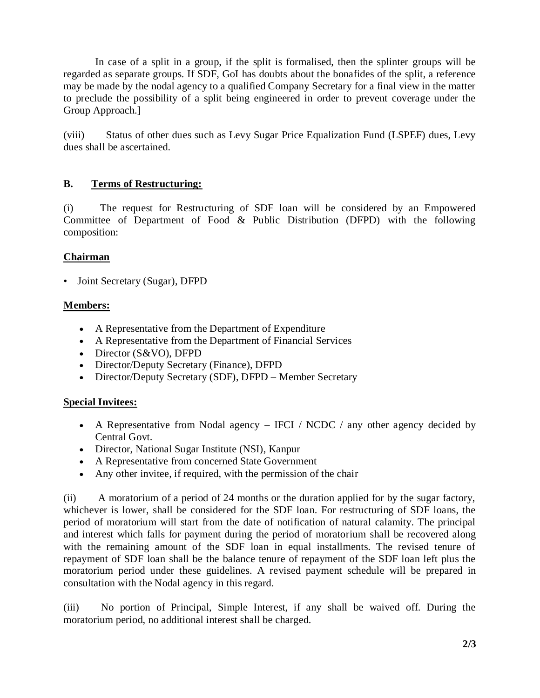In case of a split in a group, if the split is formalised, then the splinter groups will be regarded as separate groups. If SDF, GoI has doubts about the bonafides of the split, a reference may be made by the nodal agency to a qualified Company Secretary for a final view in the matter to preclude the possibility of a split being engineered in order to prevent coverage under the Group Approach.]

(viii) Status of other dues such as Levy Sugar Price Equalization Fund (LSPEF) dues, Levy dues shall be ascertained.

### **B. Terms of Restructuring:**

(i) The request for Restructuring of SDF loan will be considered by an Empowered Committee of Department of Food & Public Distribution (DFPD) with the following composition:

### **Chairman**

• Joint Secretary (Sugar), DFPD

### **Members:**

- A Representative from the Department of Expenditure
- A Representative from the Department of Financial Services
- Director (S&VO), DFPD
- Director/Deputy Secretary (Finance), DFPD
- Director/Deputy Secretary (SDF), DFPD Member Secretary

#### **Special Invitees:**

- A Representative from Nodal agency IFCI / NCDC / any other agency decided by Central Govt.
- Director, National Sugar Institute (NSI), Kanpur
- A Representative from concerned State Government
- Any other invitee, if required, with the permission of the chair

(ii) A moratorium of a period of 24 months or the duration applied for by the sugar factory, whichever is lower, shall be considered for the SDF loan. For restructuring of SDF loans, the period of moratorium will start from the date of notification of natural calamity. The principal and interest which falls for payment during the period of moratorium shall be recovered along with the remaining amount of the SDF loan in equal installments. The revised tenure of repayment of SDF loan shall be the balance tenure of repayment of the SDF loan left plus the moratorium period under these guidelines. A revised payment schedule will be prepared in consultation with the Nodal agency in this regard.

(iii) No portion of Principal, Simple Interest, if any shall be waived off. During the moratorium period, no additional interest shall be charged.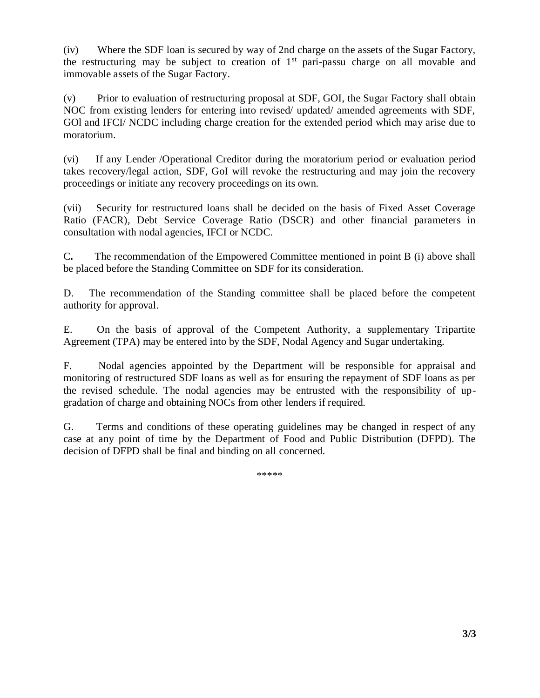(iv) Where the SDF loan is secured by way of 2nd charge on the assets of the Sugar Factory, the restructuring may be subject to creation of  $1<sup>st</sup>$  pari-passu charge on all movable and immovable assets of the Sugar Factory.

(v) Prior to evaluation of restructuring proposal at SDF, GOI, the Sugar Factory shall obtain NOC from existing lenders for entering into revised/ updated/ amended agreements with SDF, GOl and IFCI/ NCDC including charge creation for the extended period which may arise due to moratorium.

(vi) If any Lender /Operational Creditor during the moratorium period or evaluation period takes recovery/legal action, SDF, GoI will revoke the restructuring and may join the recovery proceedings or initiate any recovery proceedings on its own.

(vii) Security for restructured loans shall be decided on the basis of Fixed Asset Coverage Ratio (FACR), Debt Service Coverage Ratio (DSCR) and other financial parameters in consultation with nodal agencies, IFCI or NCDC.

C**.** The recommendation of the Empowered Committee mentioned in point B (i) above shall be placed before the Standing Committee on SDF for its consideration.

D. The recommendation of the Standing committee shall be placed before the competent authority for approval.

E. On the basis of approval of the Competent Authority, a supplementary Tripartite Agreement (TPA) may be entered into by the SDF, Nodal Agency and Sugar undertaking.

F. Nodal agencies appointed by the Department will be responsible for appraisal and monitoring of restructured SDF loans as well as for ensuring the repayment of SDF loans as per the revised schedule. The nodal agencies may be entrusted with the responsibility of upgradation of charge and obtaining NOCs from other lenders if required.

G. Terms and conditions of these operating guidelines may be changed in respect of any case at any point of time by the Department of Food and Public Distribution (DFPD). The decision of DFPD shall be final and binding on all concerned.

\*\*\*\*\*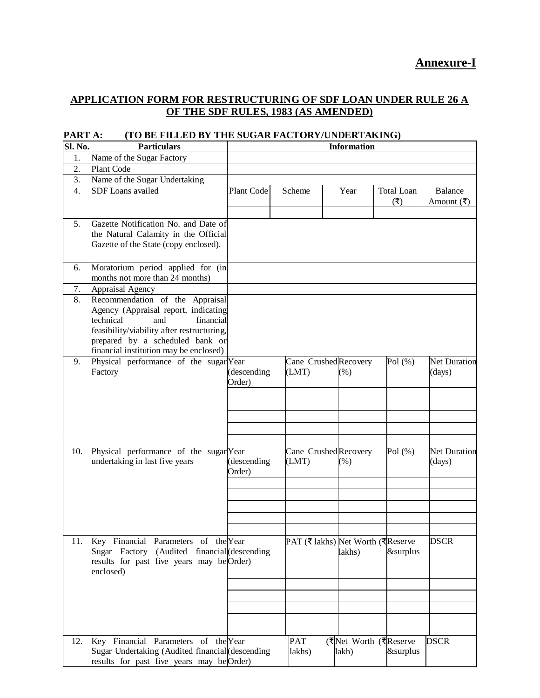## **Annexure-I**

### **APPLICATION FORM FOR RESTRUCTURING OF SDF LOAN UNDER RULE 26 A OF THE SDF RULES, 1983 (AS AMENDED)**

| Sl. No. | <b>Particulars</b>                                                                                                                                                                                                                  |                       |                                    | <b>Information</b>             |                           |                                                    |
|---------|-------------------------------------------------------------------------------------------------------------------------------------------------------------------------------------------------------------------------------------|-----------------------|------------------------------------|--------------------------------|---------------------------|----------------------------------------------------|
| 1.      | Name of the Sugar Factory                                                                                                                                                                                                           |                       |                                    |                                |                           |                                                    |
| 2.      | Plant Code                                                                                                                                                                                                                          |                       |                                    |                                |                           |                                                    |
| 3.      | Name of the Sugar Undertaking                                                                                                                                                                                                       |                       |                                    |                                |                           |                                                    |
| 4.      | <b>SDF</b> Loans availed                                                                                                                                                                                                            | Plant Code            | Scheme                             | Year                           | <b>Total Loan</b><br>( ₹) | <b>Balance</b><br>Amount $(\overline{\mathbf{t}})$ |
| 5.      | Gazette Notification No. and Date of<br>the Natural Calamity in the Official<br>Gazette of the State (copy enclosed).                                                                                                               |                       |                                    |                                |                           |                                                    |
| 6.      | Moratorium period applied for (in<br>months not more than 24 months)                                                                                                                                                                |                       |                                    |                                |                           |                                                    |
| 7.      | Appraisal Agency                                                                                                                                                                                                                    |                       |                                    |                                |                           |                                                    |
| 8.      | Recommendation of the Appraisal<br>Agency (Appraisal report, indicating<br>technical<br>financial<br>and<br>feasibility/viability after restructuring,<br>prepared by a scheduled bank or<br>financial institution may be enclosed) |                       |                                    |                                |                           |                                                    |
| 9.      | Physical performance of the sugar Year<br>Factory                                                                                                                                                                                   | (descending<br>Order) | Cane Crushed Recovery<br>(LMT)     | (% )                           | Pol $(\%)$                | <b>Net Duration</b><br>(days)                      |
| 10.     | Physical performance of the sugar Year<br>undertaking in last five years                                                                                                                                                            | (descending<br>Order) | Cane Crushed Recovery<br>(LMT)     | (% )                           | Pol $(\%)$                | <b>Net Duration</b><br>(days)                      |
| 11.     | Key Financial Parameters of the Year<br>Sugar Factory (Audited financial (descending<br>results for past five years may beOrder)<br>enclosed)                                                                                       |                       | PAT (₹ lakhs) Net Worth (₹ Reserve | lakhs)                         | &surplus                  | <b>DSCR</b>                                        |
| 12.     | Key Financial Parameters of the Year<br>Sugar Undertaking (Audited financial (descending<br>results for past five years may beOrder)                                                                                                |                       | <b>PAT</b><br>lakhs)               | (₹Net Worth (₹Reserve<br>lakh) | &surplus                  | <b>DSCR</b>                                        |

#### **PART A: (TO BE FILLED BY THE SUGAR FACTORY/UNDERTAKING)**